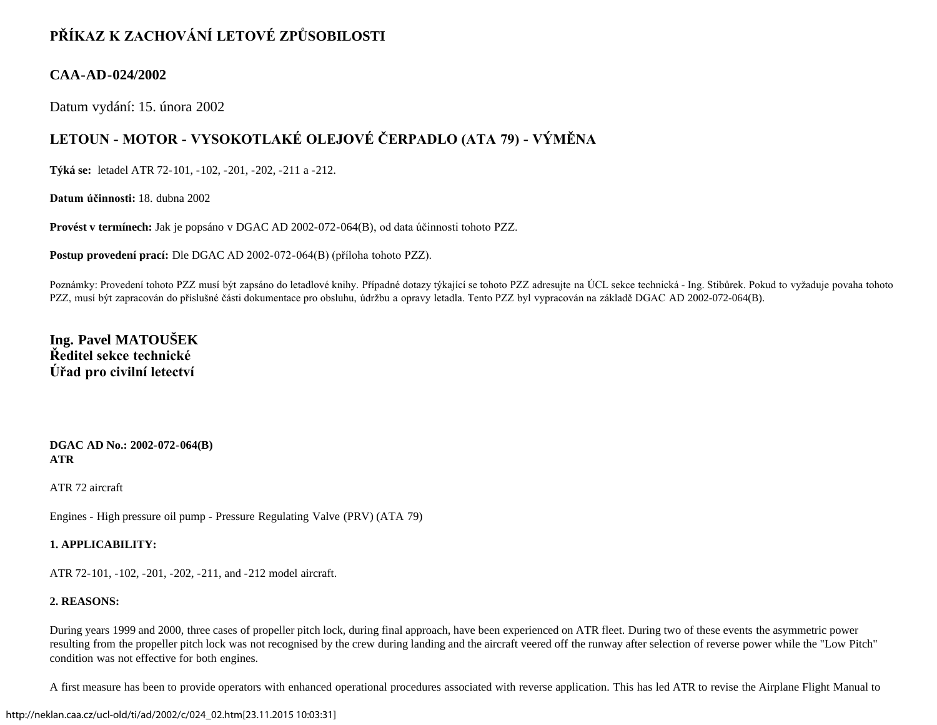# **PŘÍKAZ K ZACHOVÁNÍ LETOVÉ ZPŮSOBILOSTI**

### **CAA-AD-024/2002**

Datum vydání: 15. února 2002

# **LETOUN - MOTOR - VYSOKOTLAKÉ OLEJOVÉ ČERPADLO (ATA 79) - VÝMĚNA**

**Týká se:** letadel ATR 72-101, -102, -201, -202, -211 a -212.

**Datum účinnosti:** 18. dubna 2002

**Provést v termínech:** Jak je popsáno v DGAC AD 2002-072-064(B), od data účinnosti tohoto PZZ.

**Postup provedení prací:** Dle DGAC AD 2002-072-064(B) (příloha tohoto PZZ).

Poznámky: Provedení tohoto PZZ musí být zapsáno do letadlové knihy. Případné dotazy týkající se tohoto PZZ adresujte na ÚCL sekce technická - Ing. Stibůrek. Pokud to vyžaduje povaha tohoto PZZ, musí být zapracován do příslušné části dokumentace pro obsluhu, údržbu a opravy letadla. Tento PZZ byl vypracován na základě DGAC AD 2002-072-064(B).

## **Ing. Pavel MATOUŠEK Ředitel sekce technické Úřad pro civilní letectví**

**DGAC AD No.: 2002-072-064(B) ATR**

ATR 72 aircraft

Engines - High pressure oil pump - Pressure Regulating Valve (PRV) (ATA 79)

### **1. APPLICABILITY:**

ATR 72-101, -102, -201, -202, -211, and -212 model aircraft.

### **2. REASONS:**

During years 1999 and 2000, three cases of propeller pitch lock, during final approach, have been experienced on ATR fleet. During two of these events the asymmetric power resulting from the propeller pitch lock was not recognised by the crew during landing and the aircraft veered off the runway after selection of reverse power while the "Low Pitch" condition was not effective for both engines.

A first measure has been to provide operators with enhanced operational procedures associated with reverse application. This has led ATR to revise the Airplane Flight Manual to